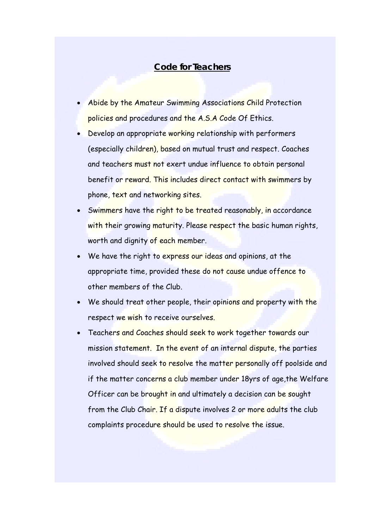## **Code for Teachers**

- Abide by the Amateur Swimming Associations Child Protection policies and procedures and the A.S.A Code Of Ethics.
- Develop an appropriate working relationship with performers (especially children), based on mutual trust and respect. Coaches and teachers must not exert undue influence to obtain personal benefit or reward. This includes direct contact with swimmers by phone, text and networking sites.
- Swimmers have the right to be treated reasonably, in accordance with their growing maturity. Please respect the basic human rights, worth and dignity of each member.
- We have the right to express our ideas and opinions, at the appropriate time, provided these do not cause undue offence to other members of the Club.
- We should treat other people, their opinions and property with the respect we wish to receive ourselves.
- Teachers and Coaches should seek to work together towards our mission statement. In the event of an internal dispute, the parties involved should seek to resolve the matter personally off poolside and if the matter concerns a club member under 18yrs of age, the Welfare Officer can be brought in and ultimately a decision can be sought from the Club Chair. If a dispute involves 2 or more adults the club complaints procedure should be used to resolve the issue.